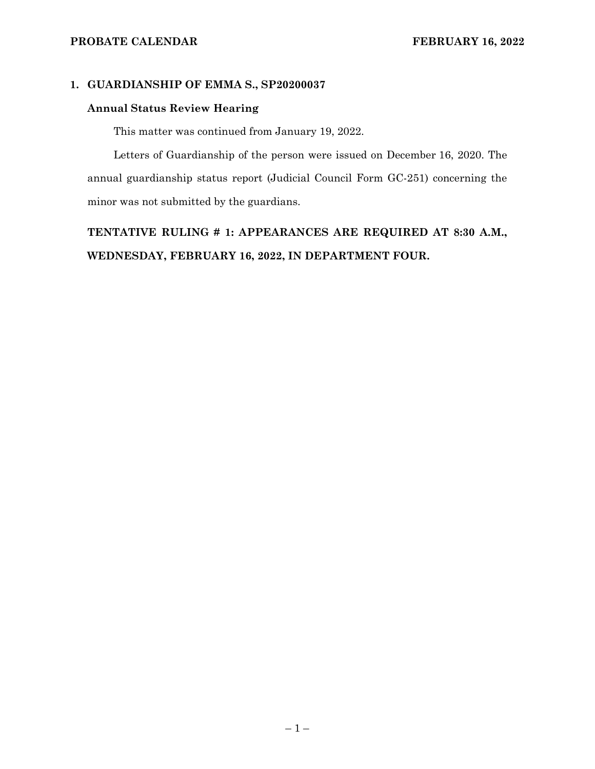# **1. GUARDIANSHIP OF EMMA S., SP20200037**

### **Annual Status Review Hearing**

This matter was continued from January 19, 2022.

Letters of Guardianship of the person were issued on December 16, 2020. The annual guardianship status report (Judicial Council Form GC-251) concerning the minor was not submitted by the guardians.

**TENTATIVE RULING # 1: APPEARANCES ARE REQUIRED AT 8:30 A.M., WEDNESDAY, FEBRUARY 16, 2022, IN DEPARTMENT FOUR.**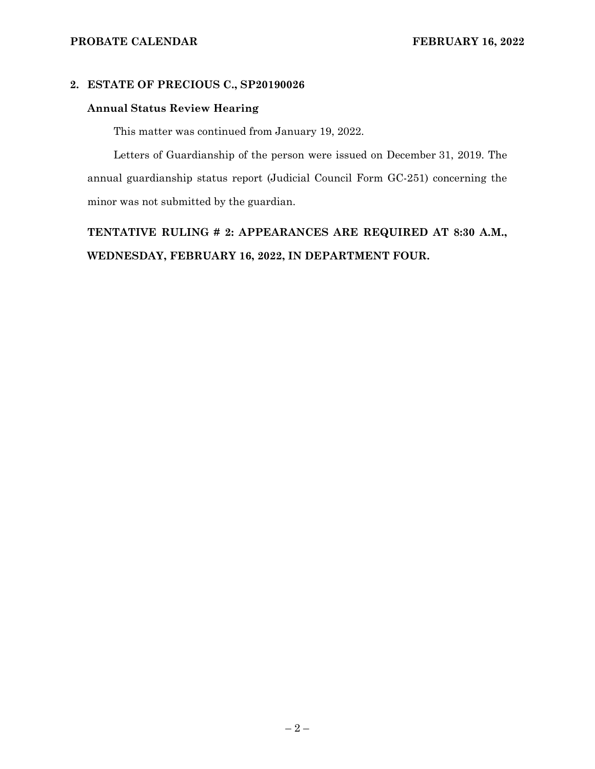## **2. ESTATE OF PRECIOUS C., SP20190026**

#### **Annual Status Review Hearing**

This matter was continued from January 19, 2022.

Letters of Guardianship of the person were issued on December 31, 2019. The annual guardianship status report (Judicial Council Form GC-251) concerning the minor was not submitted by the guardian.

**TENTATIVE RULING # 2: APPEARANCES ARE REQUIRED AT 8:30 A.M., WEDNESDAY, FEBRUARY 16, 2022, IN DEPARTMENT FOUR.**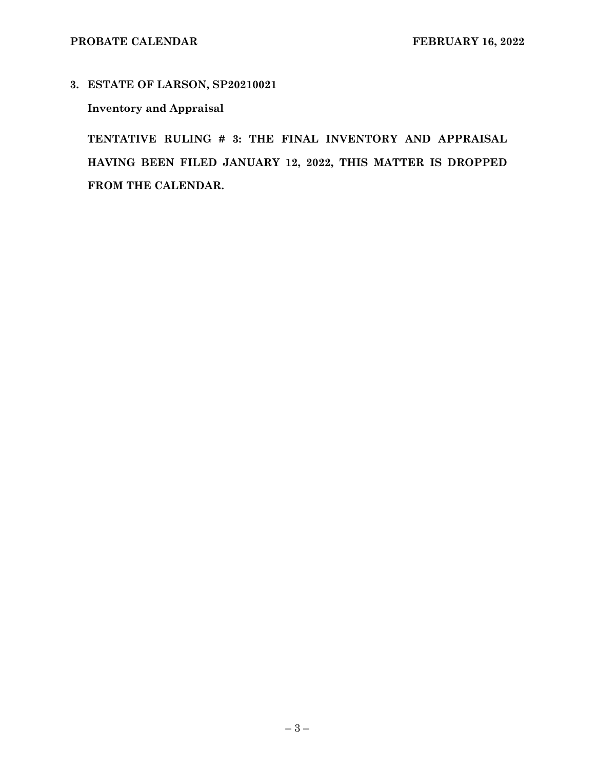**3. ESTATE OF LARSON, SP20210021** 

# **Inventory and Appraisal**

**TENTATIVE RULING # 3: THE FINAL INVENTORY AND APPRAISAL HAVING BEEN FILED JANUARY 12, 2022, THIS MATTER IS DROPPED FROM THE CALENDAR.**